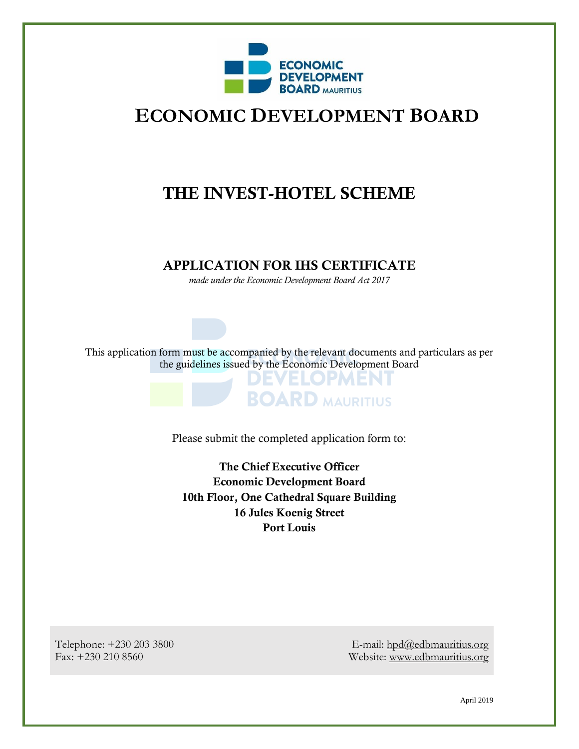

# **ECONOMIC DEVELOPMENT BOARD**

# THE INVEST-HOTEL SCHEME

#### APPLICATION FOR IHS CERTIFICATE

*made under the Economic Development Board Act 2017*

This application form must be accompanied by the relevant documents and particulars as per the guidelines issued by the Economic Development Board

ELOPMENT

**BOARD MAURITIUS** 

Please submit the completed application form to:

The Chief Executive Officer Economic Development Board 10th Floor, One Cathedral Square Building 16 Jules Koenig Street Port Louis

Telephone: +230 203 3800 Fax: +230 210 8560

E-mail: [hpd@edbmauritius.org](mailto:hpd@edbmauritius.org) Website: [www.edbmauritius.org](http://www.edbmauritius.org/)

April 2019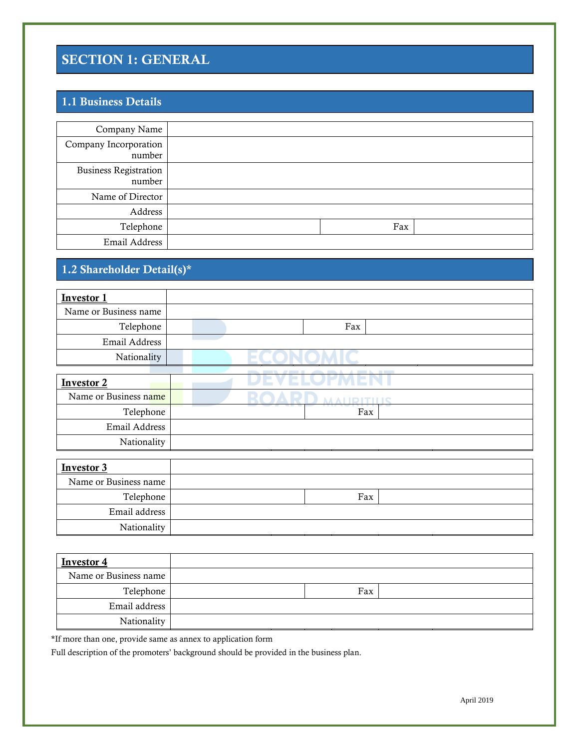# SECTION 1: GENERAL

## 1.1 Business Details

| Company Name                           |     |  |
|----------------------------------------|-----|--|
| Company Incorporation<br>number        |     |  |
| <b>Business Registration</b><br>number |     |  |
| Name of Director                       |     |  |
| Address                                |     |  |
| Telephone                              | Fax |  |
| Email Address                          |     |  |

# 1.2 Shareholder Detail(s)\*

| <b>Investor 1</b>     |     |
|-----------------------|-----|
| Name or Business name |     |
| Telephone             | Fax |
| Email Address         |     |
| Nationality           |     |
|                       |     |
| <b>Investor 2</b>     |     |
| Name or Business name |     |
| Telephone             | Fax |
| Email Address         |     |
| Nationality           |     |
|                       |     |
| Investor 2            |     |

| <b>Investor 3</b>     |     |  |
|-----------------------|-----|--|
| Name or Business name |     |  |
| Telephone             | Fax |  |
| Email address         |     |  |
| Nationality           |     |  |

| <b>Investor 4</b>     |     |  |
|-----------------------|-----|--|
| Name or Business name |     |  |
| Telephone             | Fax |  |
| Email address         |     |  |
| Nationality           |     |  |

\*If more than one, provide same as annex to application form

Full description of the promoters' background should be provided in the business plan.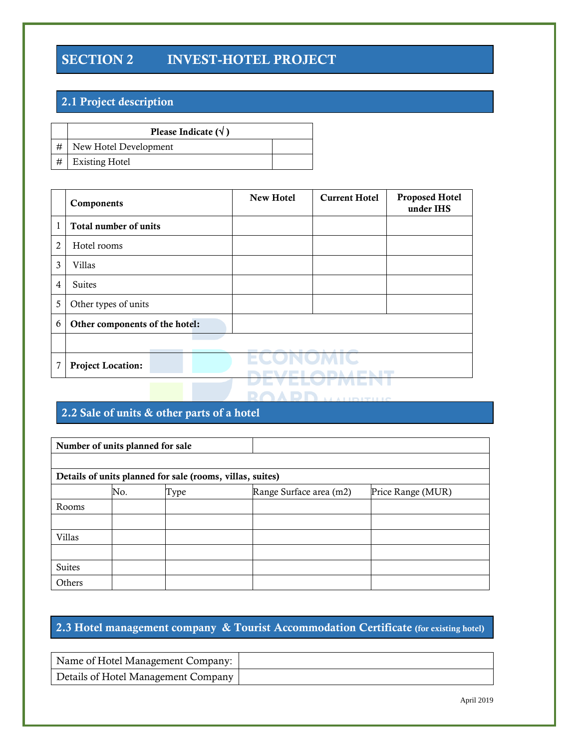# SECTION 2 INVEST-HOTEL PROJECT

## 2.1 Project description

| Please Indicate $(\sqrt{})$ |  |
|-----------------------------|--|
| # New Hotel Development     |  |
| $\#$ Existing Hotel         |  |

|   | Components                     | <b>New Hotel</b> | <b>Current Hotel</b>                    | <b>Proposed Hotel</b><br>under IHS |
|---|--------------------------------|------------------|-----------------------------------------|------------------------------------|
| 1 | Total number of units          |                  |                                         |                                    |
| 2 | Hotel rooms                    |                  |                                         |                                    |
| 3 | <b>Villas</b>                  |                  |                                         |                                    |
| 4 | Suites                         |                  |                                         |                                    |
| 5 | Other types of units           |                  |                                         |                                    |
| 6 | Other components of the hotel: |                  |                                         |                                    |
|   |                                |                  |                                         |                                    |
| 7 | <b>Project Location:</b>       | <b>STATE</b>     |                                         |                                    |
|   |                                |                  | The contract of the company of the con- |                                    |

## 2.2 Sale of units & other parts of a hotel

| Number of units planned for sale |                                                             |  |  |  |  |  |  |  |
|----------------------------------|-------------------------------------------------------------|--|--|--|--|--|--|--|
|                                  |                                                             |  |  |  |  |  |  |  |
|                                  | Details of units planned for sale (rooms, villas, suites)   |  |  |  |  |  |  |  |
|                                  | Range Surface area (m2)<br>Price Range (MUR)<br>No.<br>Type |  |  |  |  |  |  |  |
| Rooms                            |                                                             |  |  |  |  |  |  |  |
|                                  |                                                             |  |  |  |  |  |  |  |
| Villas                           |                                                             |  |  |  |  |  |  |  |
|                                  |                                                             |  |  |  |  |  |  |  |
| <b>Suites</b>                    |                                                             |  |  |  |  |  |  |  |
| Others                           |                                                             |  |  |  |  |  |  |  |

## 2.3 Hotel management company & Tourist Accommodation Certificate (for existing hotel)

| Name of Hotel Management Company:   |  |
|-------------------------------------|--|
| Details of Hotel Management Company |  |

April 2019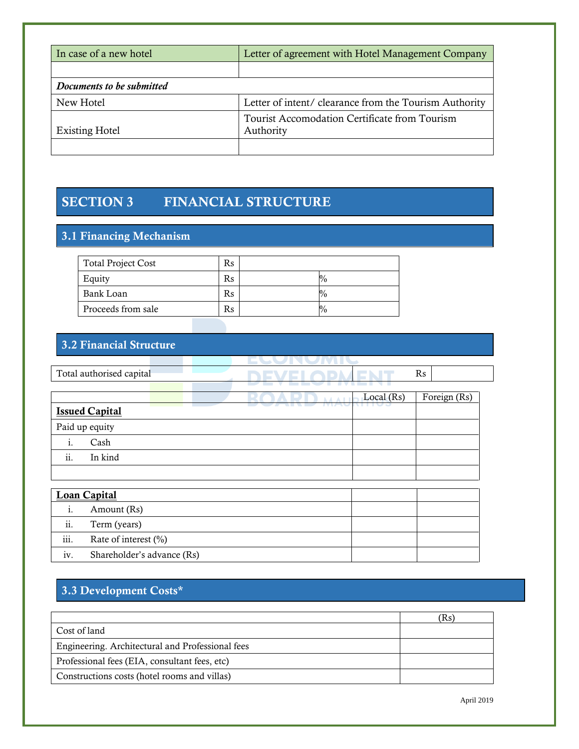| In case of a new hotel    | Letter of agreement with Hotel Management Company          |  |  |
|---------------------------|------------------------------------------------------------|--|--|
|                           |                                                            |  |  |
| Documents to be submitted |                                                            |  |  |
| New Hotel                 | Letter of intent/ clearance from the Tourism Authority     |  |  |
| <b>Existing Hotel</b>     | Tourist Accomodation Certificate from Tourism<br>Authority |  |  |
|                           |                                                            |  |  |

# SECTION 3 FINANCIAL STRUCTURE

## 3.1 Financing Mechanism

| <b>Total Project Cost</b> | Rs |             |
|---------------------------|----|-------------|
| Equity                    | Rs | $^{0}/_{0}$ |
| Bank Loan                 | Rs | $^{0}/_{0}$ |
| Proceeds from sale        | Rs | $^{0}/_{0}$ |

## 3.2 Financial Structure

|                     | Total authorised capital | Rs           |              |  |  |
|---------------------|--------------------------|--------------|--------------|--|--|
|                     |                          |              |              |  |  |
|                     |                          | Local $(Rs)$ | Foreign (Rs) |  |  |
|                     | <b>Issued Capital</b>    |              |              |  |  |
|                     | Paid up equity           |              |              |  |  |
| 1.                  | Cash                     |              |              |  |  |
| ii.                 | In kind                  |              |              |  |  |
|                     |                          |              |              |  |  |
| <b>Loan Capital</b> |                          |              |              |  |  |
|                     |                          |              |              |  |  |
| 1.                  | Amount (Rs)              |              |              |  |  |

| ii.  | Term (years)               |  |
|------|----------------------------|--|
| iii. | Rate of interest $(\% )$   |  |
| 1V.  | Shareholder's advance (Rs) |  |

# 3.3 Development Costs\*

|                                                  | Rs) |
|--------------------------------------------------|-----|
| Cost of land                                     |     |
| Engineering. Architectural and Professional fees |     |
| Professional fees (EIA, consultant fees, etc)    |     |
| Constructions costs (hotel rooms and villas)     |     |

April 2019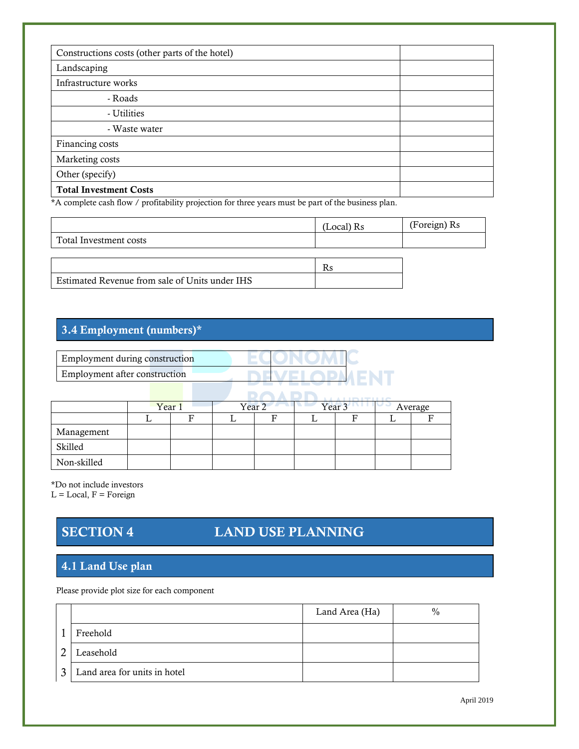| Constructions costs (other parts of the hotel) |  |
|------------------------------------------------|--|
| Landscaping                                    |  |
| Infrastructure works                           |  |
| - Roads                                        |  |
| - Utilities                                    |  |
| - Waste water                                  |  |
| Financing costs                                |  |
| Marketing costs                                |  |
| Other (specify)                                |  |
| <b>Total Investment Costs</b>                  |  |

\*A complete cash flow / profitability projection for three years must be part of the business plan.

|                        | $(Local)$ Rs | (Foreign) Rs |
|------------------------|--------------|--------------|
| Total Investment costs |              |              |
|                        |              |              |
|                        | <b>D</b>     |              |

| Estimated Revenue from sale of Units under IHS |  |
|------------------------------------------------|--|

## 3.4 Employment (numbers)\*

|                                |        |   |                   |   | ______ |                   |         |
|--------------------------------|--------|---|-------------------|---|--------|-------------------|---------|
| Employment during construction |        |   |                   |   |        |                   |         |
| Employment after construction  |        |   |                   |   |        | ENT               |         |
|                                |        |   |                   |   |        |                   |         |
|                                | Year 1 |   | Year <sub>2</sub> |   |        | Year <sub>3</sub> | Average |
|                                |        | F |                   | F |        | F                 | F       |
| Management                     |        |   |                   |   |        |                   |         |
| Skilled                        |        |   |                   |   |        |                   |         |
| Non-skilled                    |        |   |                   |   |        |                   |         |

\*Do not include investors

 $L = Local, F = Foreign$ 

# SECTION 4 LAND USE PLANNING

#### 4.1 Land Use plan

Please provide plot size for each component

|              |                              | Land Area (Ha) | $\%$ |
|--------------|------------------------------|----------------|------|
|              | Freehold                     |                |      |
| ◠            | Leasehold                    |                |      |
| $\mathbf{z}$ | Land area for units in hotel |                |      |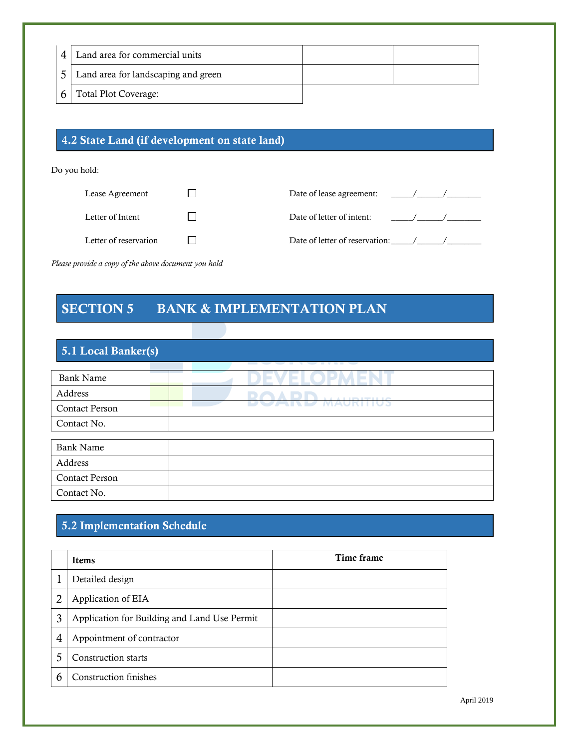| Land area for commercial units      |  |
|-------------------------------------|--|
| Land area for landscaping and green |  |
| <b>Total Plot Coverage:</b>         |  |

#### 4.2 State Land (if development on state land)

Do you hold:

| Lease Agreement       | Date of lease agreement:       |
|-----------------------|--------------------------------|
| Letter of Intent      | Date of letter of intent:      |
| Letter of reservation | Date of letter of reservation: |

*Please provide a copy of the above document you hold*

## SECTION 5 BANK & IMPLEMENTATION PLAN

#### 5.1 Local Banker(s) Bank Name ) E V r. Address **DAADR** Contact Person Contact No. Bank Name Address Contact Person Contact No.

#### 5.2 Implementation Schedule

|   | <b>Items</b>                                 | Time frame |
|---|----------------------------------------------|------------|
|   | Detailed design                              |            |
|   | Application of EIA                           |            |
| 3 | Application for Building and Land Use Permit |            |
| 4 | Appointment of contractor                    |            |
|   | Construction starts                          |            |
| r | <b>Construction finishes</b>                 |            |